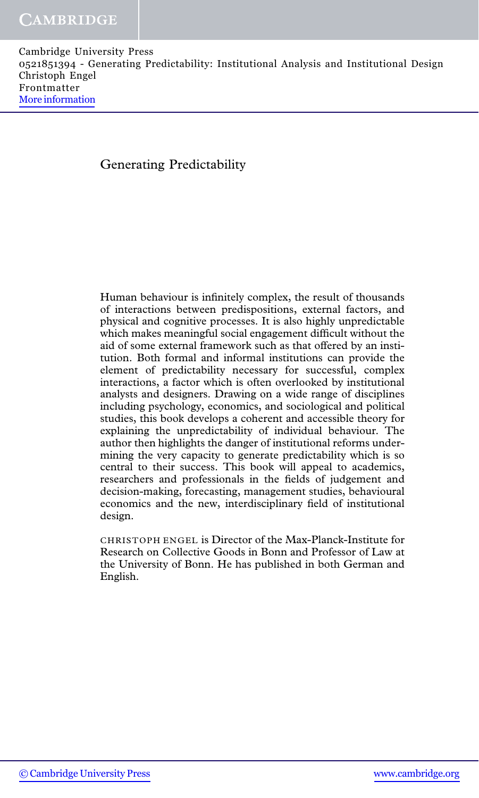### Generating Predictability

Human behaviour is infinitely complex, the result of thousands of interactions between predispositions, external factors, and physical and cognitive processes. It is also highly unpredictable which makes meaningful social engagement difficult without the aid of some external framework such as that offered by an institution. Both formal and informal institutions can provide the element of predictability necessary for successful, complex interactions, a factor which is often overlooked by institutional analysts and designers. Drawing on a wide range of disciplines including psychology, economics, and sociological and political studies, this book develops a coherent and accessible theory for explaining the unpredictability of individual behaviour. The author then highlights the danger of institutional reforms undermining the very capacity to generate predictability which is so central to their success. This book will appeal to academics, researchers and professionals in the fields of judgement and decision-making, forecasting, management studies, behavioural economics and the new, interdisciplinary field of institutional design.

CHRISTOPH ENGEL is Director of the Max-Planck-Institute for Research on Collective Goods in Bonn and Professor of Law at the University of Bonn. He has published in both German and English.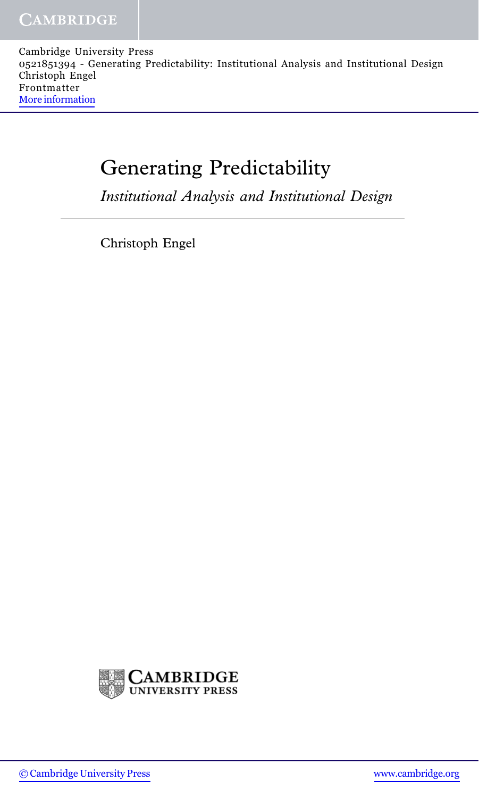# Generating Predictability

Institutional Analysis and Institutional Design

Christoph Engel

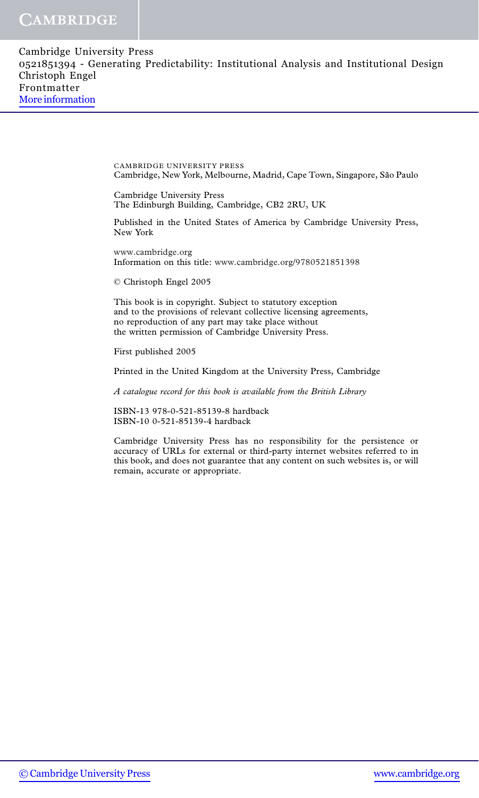| Cambridge University Press                                                               |
|------------------------------------------------------------------------------------------|
| 0.521851394 - Generating Predictability: Institutional Analysis and Institutional Design |
| Christoph Engel                                                                          |
| Frontmatter                                                                              |
| More information                                                                         |

CAMBRIDGE UNIVERSITY PRESS Cambridge, New York, Melbourne, Madrid, Cape Town, Singapore, São Paulo

Cambridge University Press The Edinburgh Building, Cambridge, CB2 2RU, UK

Published in the United States of America by Cambridge University Press, New York

www.cambridge.org Information on this title: www.cambridge.org/9780521851398

© Christoph Engel 2005

This book is in copyright. Subject to statutory exception and to the provisions of relevant collective licensing agreements, no reproduction of any part may take place without the written permission of Cambridge University Press.

First published 2005

Printed in the United Kingdom at the University Press, Cambridge

A catalogue record for this book is available from the British Library

ISBN-13 978-0-521-85139-8 hardback ISBN-10 0-521-85139-4 hardback

Cambridge University Press has no responsibility for the persistence or accuracy of URLs for external or third-party internet websites referred to in this book, and does not guarantee that any content on such websites is, or will remain, accurate or appropriate.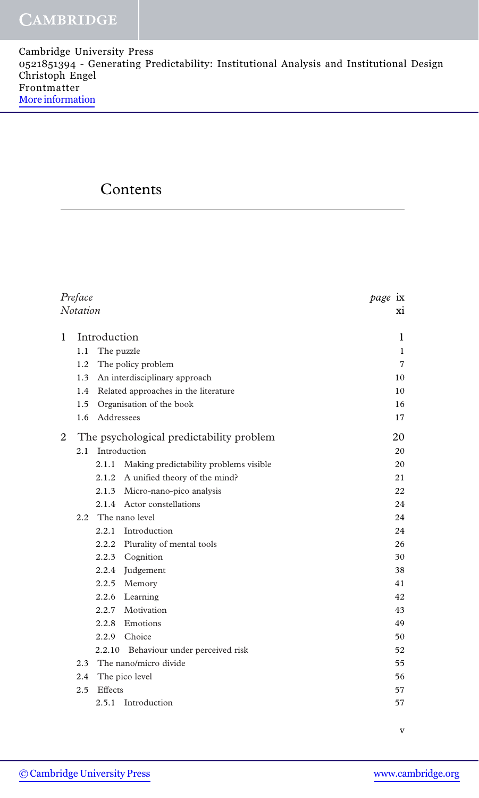## Contents

| Preface         |               |              | page ix                                  |              |
|-----------------|---------------|--------------|------------------------------------------|--------------|
| <b>Notation</b> |               | Xİ           |                                          |              |
| 1               |               | Introduction |                                          | 1            |
|                 | 1.1           | The puzzle   |                                          | $\mathbf{1}$ |
|                 | 1.2           |              | The policy problem                       | 7            |
|                 | 1.3           |              | An interdisciplinary approach            | 10           |
|                 | 1.4           |              | Related approaches in the literature     | 10           |
|                 | 1.5           |              | Organisation of the book                 | 16           |
|                 | $1.6^{\circ}$ | Addressees   |                                          | 17           |
| 2               |               |              | The psychological predictability problem | 20           |
|                 | 2.1           |              | Introduction                             | 20           |
|                 |               | 2.1.1        | Making predictability problems visible   | 20           |
|                 |               |              | 2.1.2 A unified theory of the mind?      | 21           |
|                 |               |              | 2.1.3 Micro-nano-pico analysis           | 22           |
|                 |               |              | 2.1.4 Actor constellations               | 24           |
|                 | $2.2^{\circ}$ |              | The nano level                           | 24           |
|                 |               | 2.2.1        | Introduction                             | 24           |
|                 |               |              | 2.2.2 Plurality of mental tools          | 26           |
|                 |               |              | 2.2.3 Cognition                          | 30           |
|                 |               |              | 2.2.4 Judgement                          | 38           |
|                 |               |              | 2.2.5 Memory                             | 41           |
|                 |               |              | 2.2.6 Learning                           | 42           |
|                 |               | 2.2.7        | Motivation                               | 43           |
|                 |               | 2.2.8        | Emotions                                 | 49           |
|                 |               | 2.2.9        | Choice                                   | 50           |
|                 |               | 2.2.10       | Behaviour under perceived risk           | 52           |
|                 |               |              | 2.3 The nano/micro divide                | 55           |
|                 | 2.4           |              | The pico level                           | 56           |
|                 | 2.5           | Effects      |                                          | 57           |
|                 |               |              | 2.5.1 Introduction                       | 57           |

v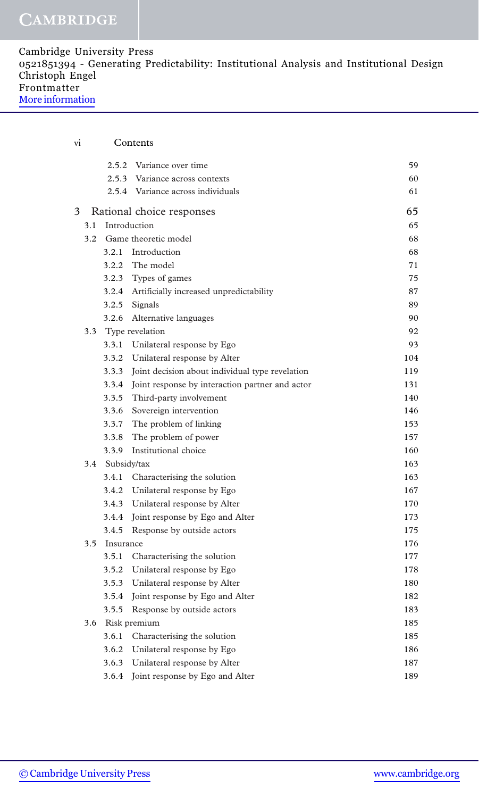| Cambridge University Press                                                              |  |
|-----------------------------------------------------------------------------------------|--|
| 0521851394 - Generating Predictability: Institutional Analysis and Institutional Design |  |
| Christoph Engel                                                                         |  |
| Frontmatter                                                                             |  |
| More information                                                                        |  |

| vi |     |                 | Contents                                              |     |
|----|-----|-----------------|-------------------------------------------------------|-----|
|    |     |                 | 2.5.2 Variance over time                              | 59  |
|    |     |                 | 2.5.3 Variance across contexts                        | 60  |
|    |     |                 | 2.5.4 Variance across individuals                     | 61  |
| 3  |     |                 | Rational choice responses                             | 65  |
|    | 3.1 |                 | Introduction                                          | 65  |
|    |     |                 | 3.2 Game theoretic model                              | 68  |
|    |     |                 | 3.2.1 Introduction                                    | 68  |
|    |     |                 | 3.2.2 The model                                       | 71  |
|    |     |                 | 3.2.3 Types of games                                  | 75  |
|    |     |                 | 3.2.4 Artificially increased unpredictability         | 87  |
|    |     |                 | $3.2.5$ Signals                                       | 89  |
|    |     |                 | 3.2.6 Alternative languages                           | 90  |
|    | 3.3 |                 | Type revelation                                       | 92  |
|    |     |                 | 3.3.1 Unilateral response by Ego                      | 93  |
|    |     |                 | 3.3.2 Unilateral response by Alter                    | 104 |
|    |     |                 | 3.3.3 Joint decision about individual type revelation | 119 |
|    |     | 3.3.4           | Joint response by interaction partner and actor       | 131 |
|    |     |                 | 3.3.5 Third-party involvement                         | 140 |
|    |     |                 | 3.3.6 Sovereign intervention                          | 146 |
|    |     |                 | 3.3.7 The problem of linking                          | 153 |
|    |     |                 | 3.3.8 The problem of power                            | 157 |
|    |     |                 | 3.3.9 Institutional choice                            | 160 |
|    |     | 3.4 Subsidy/tax |                                                       | 163 |
|    |     |                 | 3.4.1 Characterising the solution                     | 163 |
|    |     |                 | 3.4.2 Unilateral response by Ego                      | 167 |
|    |     |                 | 3.4.3 Unilateral response by Alter                    | 170 |
|    |     |                 | 3.4.4 Joint response by Ego and Alter                 | 173 |
|    |     | 3.4.5           | Response by outside actors                            | 175 |
|    |     | 3.5 Insurance   |                                                       | 176 |
|    |     |                 | 3.5.1 Characterising the solution                     | 177 |
|    |     |                 | 3.5.2 Unilateral response by Ego                      | 178 |
|    |     |                 | 3.5.3 Unilateral response by Alter                    | 180 |
|    |     |                 | 3.5.4 Joint response by Ego and Alter                 | 182 |
|    |     | 3.5.5           | Response by outside actors                            | 183 |
|    |     |                 | 3.6 Risk premium                                      | 185 |
|    |     |                 | 3.6.1 Characterising the solution                     | 185 |
|    |     |                 | 3.6.2 Unilateral response by Ego                      | 186 |
|    |     |                 | 3.6.3 Unilateral response by Alter                    | 187 |
|    |     | 3.6.4           | Joint response by Ego and Alter                       | 189 |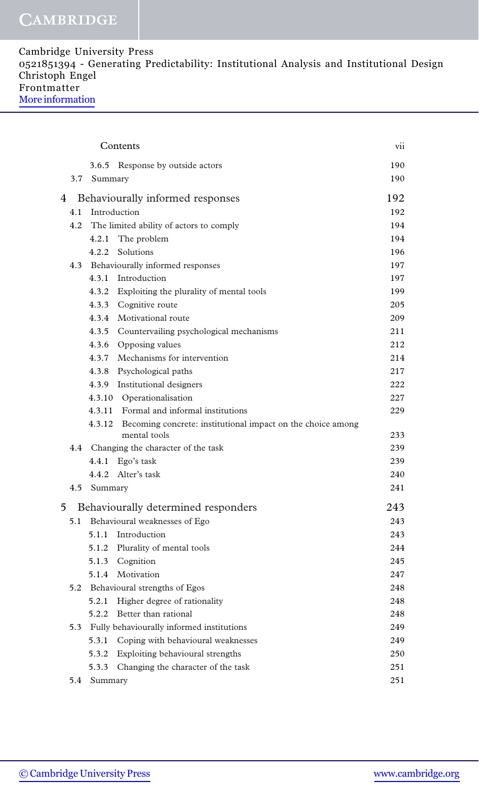| Cambridge University Press                                                              |  |
|-----------------------------------------------------------------------------------------|--|
| 0521851394 - Generating Predictability: Institutional Analysis and Institutional Design |  |
| Christoph Engel                                                                         |  |
| Frontmatter                                                                             |  |
| More information                                                                        |  |
|                                                                                         |  |

|     | Contents                                                                           | vii   |
|-----|------------------------------------------------------------------------------------|-------|
|     | 3.6.5 Response by outside actors                                                   | 190   |
| 3.7 | Summary                                                                            | 190   |
| 4   | Behaviourally informed responses                                                   | 192   |
| 4.1 | Introduction                                                                       | 192   |
| 4.2 | The limited ability of actors to comply                                            | 194   |
|     | 4.2.1<br>The problem                                                               | 194   |
|     | 4.2.2<br>Solutions                                                                 | 196   |
|     | 4.3 Behaviourally informed responses                                               | 197   |
|     | 4.3.1 Introduction                                                                 | 197   |
|     | 4.3.2 Exploiting the plurality of mental tools                                     | 199   |
|     | 4.3.3 Cognitive route                                                              | 205   |
|     | 4.3.4 Motivational route                                                           | 209   |
|     | 4.3.5 Countervailing psychological mechanisms                                      | 211   |
|     | 4.3.6 Opposing values                                                              | 212   |
|     | 4.3.7 Mechanisms for intervention                                                  | 214   |
|     | 4.3.8 Psychological paths                                                          | 217   |
|     | 4.3.9 Institutional designers                                                      | 222.2 |
|     | 4.3.10 Operationalisation                                                          | 227   |
|     | 4.3.11 Formal and informal institutions                                            | 229   |
|     | 4.3.12 Becoming concrete: institutional impact on the choice among<br>mental tools | 233   |
|     | 4.4 Changing the character of the task                                             | 239   |
|     | Ego's task<br>4.4.1                                                                | 239   |
|     | 4.4.2 Alter's task                                                                 | 240   |
|     | 4.5 Summary                                                                        | 241   |
| 5   | Behaviourally determined responders                                                | 243   |
|     | 5.1 Behavioural weaknesses of Ego                                                  | 243   |
|     | 5.1.1 Introduction                                                                 | 243   |
|     | 5.1.2 Plurality of mental tools                                                    | 244   |
|     | 5.1.3 Cognition                                                                    | 245   |
|     | 5.1.4 Motivation                                                                   | 247   |
|     | 5.2 Behavioural strengths of Egos                                                  | 248   |
|     | 5.2.1 Higher degree of rationality                                                 | 248   |
|     | 5.2.2 Better than rational                                                         | 248   |
|     | 5.3 Fully behaviourally informed institutions                                      | 249   |
|     | 5.3.1 Coping with behavioural weaknesses                                           | 249   |
|     | 5.3.2 Exploiting behavioural strengths                                             | 250   |
|     | 5.3.3<br>Changing the character of the task                                        | 251   |
|     | 5.4 Summary                                                                        | 251   |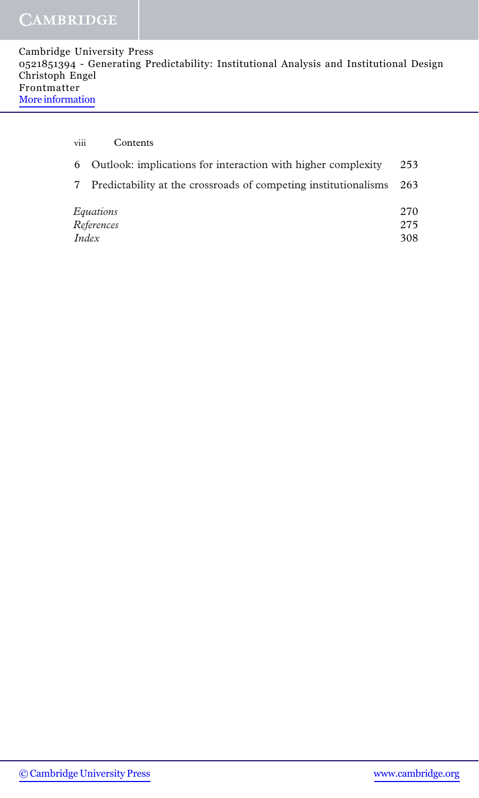| Cambridge University Press                                                              |  |
|-----------------------------------------------------------------------------------------|--|
| 0521851394 - Generating Predictability: Institutional Analysis and Institutional Design |  |
| Christoph Engel                                                                         |  |
| Frontmatter                                                                             |  |
| More information                                                                        |  |

#### viii Contents

| 6 Outlook: implications for interaction with higher complexity        | 253 |
|-----------------------------------------------------------------------|-----|
| 7 Predictability at the crossroads of competing institutionalisms 263 |     |
| Equations                                                             | 270 |
| References                                                            | 275 |
| Index                                                                 | 308 |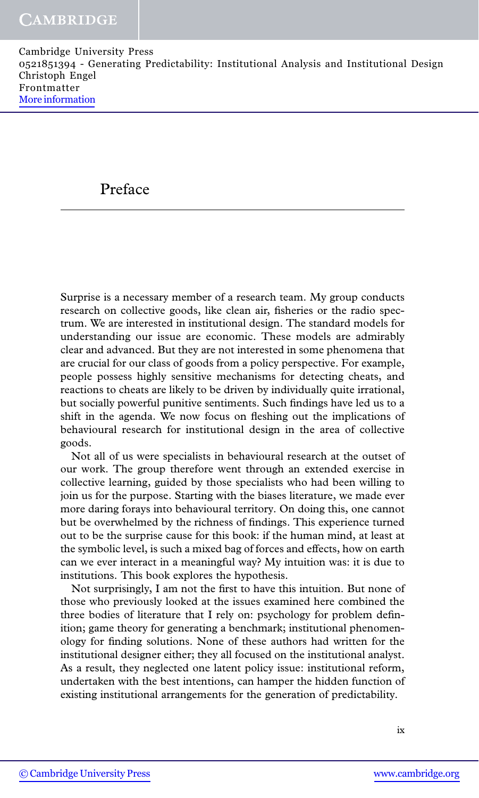## Preface

Surprise is a necessary member of a research team. My group conducts research on collective goods, like clean air, fisheries or the radio spectrum. We are interested in institutional design. The standard models for understanding our issue are economic. These models are admirably clear and advanced. But they are not interested in some phenomena that are crucial for our class of goods from a policy perspective. For example, people possess highly sensitive mechanisms for detecting cheats, and reactions to cheats are likely to be driven by individually quite irrational, but socially powerful punitive sentiments. Such findings have led us to a shift in the agenda. We now focus on fleshing out the implications of behavioural research for institutional design in the area of collective goods.

Not all of us were specialists in behavioural research at the outset of our work. The group therefore went through an extended exercise in collective learning, guided by those specialists who had been willing to join us for the purpose. Starting with the biases literature, we made ever more daring forays into behavioural territory. On doing this, one cannot but be overwhelmed by the richness of findings. This experience turned out to be the surprise cause for this book: if the human mind, at least at the symbolic level, is such a mixed bag of forces and effects, how on earth can we ever interact in a meaningful way? My intuition was: it is due to institutions. This book explores the hypothesis.

Not surprisingly, I am not the first to have this intuition. But none of those who previously looked at the issues examined here combined the three bodies of literature that I rely on: psychology for problem definition; game theory for generating a benchmark; institutional phenomenology for finding solutions. None of these authors had written for the institutional designer either; they all focused on the institutional analyst. As a result, they neglected one latent policy issue: institutional reform, undertaken with the best intentions, can hamper the hidden function of existing institutional arrangements for the generation of predictability.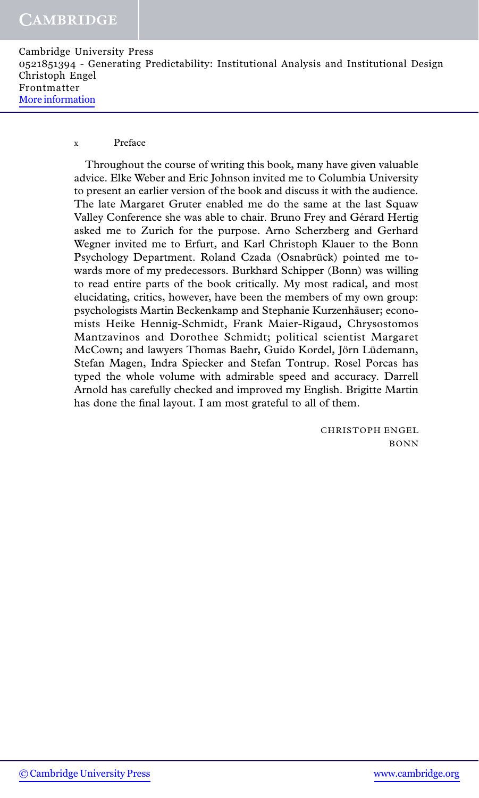### x Preface

Throughout the course of writing this book, many have given valuable advice. Elke Weber and Eric Johnson invited me to Columbia University to present an earlier version of the book and discuss it with the audience. The late Margaret Gruter enabled me do the same at the last Squaw Valley Conference she was able to chair. Bruno Frey and Gérard Hertig asked me to Zurich for the purpose. Arno Scherzberg and Gerhard Wegner invited me to Erfurt, and Karl Christoph Klauer to the Bonn Psychology Department. Roland Czada (Osnabrück) pointed me towards more of my predecessors. Burkhard Schipper (Bonn) was willing to read entire parts of the book critically. My most radical, and most elucidating, critics, however, have been the members of my own group: psychologists Martin Beckenkamp and Stephanie Kurzenhäuser; economists Heike Hennig-Schmidt, Frank Maier-Rigaud, Chrysostomos Mantzavinos and Dorothee Schmidt; political scientist Margaret McCown; and lawyers Thomas Baehr, Guido Kordel, Jörn Lüdemann, Stefan Magen, Indra Spiecker and Stefan Tontrup. Rosel Porcas has typed the whole volume with admirable speed and accuracy. Darrell Arnold has carefully checked and improved my English. Brigitte Martin has done the final layout. I am most grateful to all of them.

> CHRISTOPH ENGEL BONN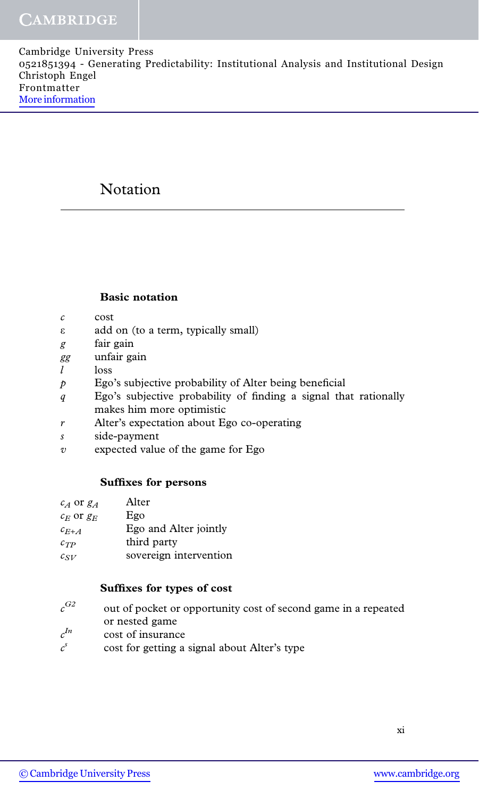# Notation

### Basic notation

- $c$  cost
- ε add on (to a term, typically small)
- g fair gain
- gg unfair gain
- $l$  loss
- $p$  Ego's subjective probability of Alter being beneficial
- q Ego's subjective probability of finding a signal that rationally makes him more optimistic
- $r$  Alter's expectation about Ego co-operating
- s side-payment
- $v$  expected value of the game for Ego

#### Suffixes for persons

| $c_A$ or $g_A$  | Alter                  |
|-----------------|------------------------|
| $c_F$ or $g_F$  | Ego                    |
| $c_{E+A}$       | Ego and Alter jointly  |
| $\mathcal{C}TP$ | third party            |
| $c_{SV}$        | sovereign intervention |

#### Suffixes for types of cost

- $c^{G2}$ out of pocket or opportunity cost of second game in a repeated or nested game
- $c^{In}$ cost of insurance
- $c<sup>s</sup>$ cost for getting a signal about Alter's type

xi